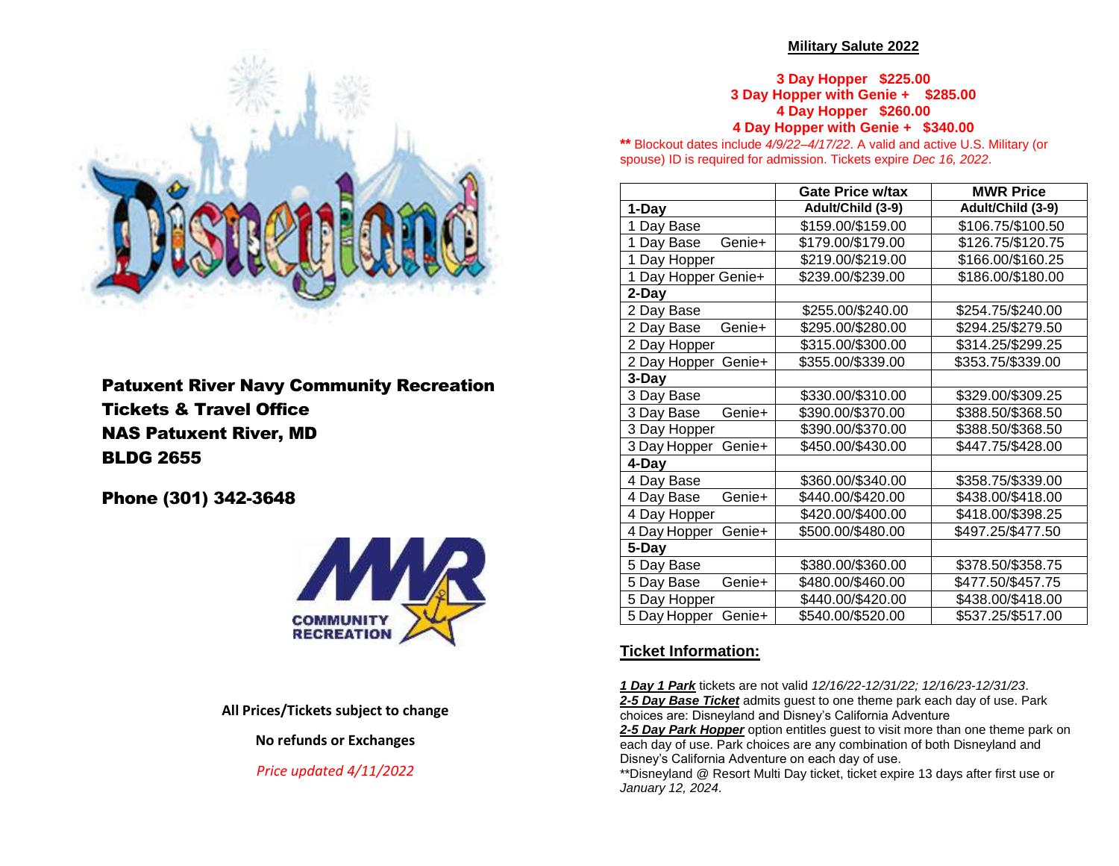

Patuxent River Navy Community Recreation Tickets & Travel Office NAS Patuxent River, MD BLDG 2655

Phone (301) 342-3648



### **All Prices/Tickets subject to change**

**No refunds or Exchanges**

# *Price updated 4/11/2022*

### **Military Salute 2022**

**3 Day Hopper \$225.00 3 Day Hopper with Genie + \$285.00 4 Day Hopper \$260.00 4 Day Hopper with Genie + \$340.00**

**\*\*** Blockout dates include *4/9/22–4/17/22*. A valid and active U.S. Military (or spouse) ID is required for admission. Tickets expire *Dec 16, 2022*.

|                        | Gate Price w/tax  | <b>MWR Price</b>  |
|------------------------|-------------------|-------------------|
| 1-Day                  | Adult/Child (3-9) | Adult/Child (3-9) |
| 1 Day Base             | \$159.00/\$159.00 | \$106.75/\$100.50 |
| Genie+<br>1 Day Base   | \$179.00/\$179.00 | \$126.75/\$120.75 |
| 1 Day Hopper           | \$219.00/\$219.00 | \$166.00/\$160.25 |
| 1 Day Hopper Genie+    | \$239.00/\$239.00 | \$186.00/\$180.00 |
| 2-Day                  |                   |                   |
| 2 Day Base             | \$255.00/\$240.00 | \$254.75/\$240.00 |
| Genie+<br>2 Day Base   | \$295.00/\$280.00 | \$294.25/\$279.50 |
| 2 Day Hopper           | \$315.00/\$300.00 | \$314.25/\$299.25 |
| Genie+<br>2 Day Hopper | \$355.00/\$339.00 | \$353.75/\$339.00 |
| 3-Day                  |                   |                   |
| 3 Day Base             | \$330.00/\$310.00 | \$329.00/\$309.25 |
| Genie+<br>3 Day Base   | \$390.00/\$370.00 | \$388.50/\$368.50 |
| 3 Day Hopper           | \$390.00/\$370.00 | \$388.50/\$368.50 |
| Genie+<br>3 Day Hopper | \$450.00/\$430.00 | \$447.75/\$428.00 |
| 4-Day                  |                   |                   |
| 4 Day Base             | \$360.00/\$340.00 | \$358.75/\$339.00 |
| Genie+<br>4 Day Base   | \$440.00/\$420.00 | \$438.00/\$418.00 |
| 4 Day Hopper           | \$420.00/\$400.00 | \$418.00/\$398.25 |
| Genie+<br>4 Day Hopper | \$500.00/\$480.00 | \$497.25/\$477.50 |
| 5-Day                  |                   |                   |
| 5 Day Base             | \$380.00/\$360.00 | \$378.50/\$358.75 |
| 5 Day Base<br>Genie+   | \$480.00/\$460.00 | \$477.50/\$457.75 |
| 5 Day Hopper           | \$440.00/\$420.00 | \$438.00/\$418.00 |
| 5 Day Hopper<br>Genie+ | \$540.00/\$520.00 | \$537.25/\$517.00 |

# **Ticket Information:**

*1 Day 1 Park* tickets are not valid *12/16/22-12/31/22; 12/16/23-12/31/23*. *2-5 Day Base Ticket* admits guest to one theme park each day of use. Park choices are: Disneyland and Disney's California Adventure

2-5 Day Park Hopper option entitles guest to visit more than one theme park on each day of use. Park choices are any combination of both Disneyland and Disney's California Adventure on each day of use.

\*\*Disneyland @ Resort Multi Day ticket, ticket expire 13 days after first use or *January 12, 2024*.